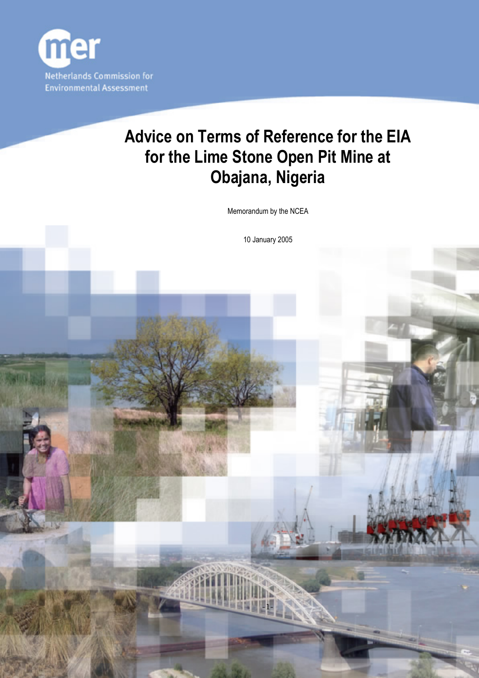

# **Advice on Terms of Reference for the EIA for the Lime Stone Open Pit Mine at Obajana, Nigeria**

Memorandum by the NCEA

10 January 2005

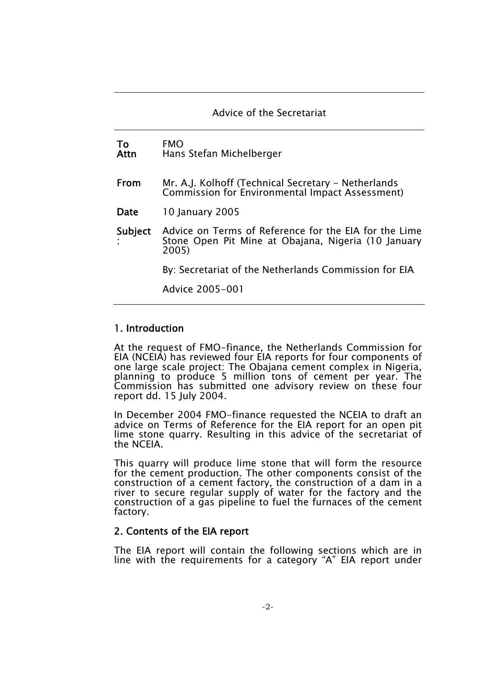#### Advice of the Secretariat

| To<br>Attn | <b>FMO</b><br>Hans Stefan Michelberger                                                                                |
|------------|-----------------------------------------------------------------------------------------------------------------------|
| From       | Mr. A.J. Kolhoff (Technical Secretary - Netherlands<br>Commission for Environmental Impact Assessment)                |
| Date       | 10 January 2005                                                                                                       |
| Subject    | Advice on Terms of Reference for the EIA for the Lime<br>Stone Open Pit Mine at Obajana, Nigeria (10 January<br>2005) |
|            | By: Secretariat of the Netherlands Commission for EIA                                                                 |
|            | Advice 2005-001                                                                                                       |
|            |                                                                                                                       |

#### 1. Introduction

At the request of FMO-finance, the Netherlands Commission for EIA (NCEIA) has reviewed four EIA reports for four components of one large scale project: The Obajana cement complex in Nigeria, planning to produce 5 million tons of cement per year. The Commission has submitted one advisory review on these four report dd. 15 July 2004.

In December 2004 FMO-finance requested the NCEIA to draft an advice on Terms of Reference for the EIA report for an open pit lime stone quarry. Resulting in this advice of the secretariat of the NCEIA.

This quarry will produce lime stone that will form the resource for the cement production. The other components consist of the construction of a cement factory, the construction of a dam in a river to secure regular supply of water for the factory and the construction of a gas pipeline to fuel the furnaces of the cement factory.

#### 2. Contents of the EIA report

The EIA report will contain the following sections which are in line with the requirements for a category "A" EIA report under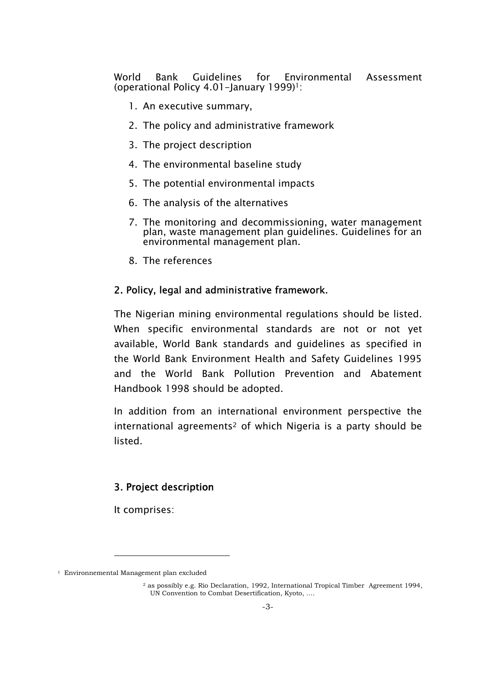World Bank Guidelines for Environmental Assessment (operational Policy 4.01-January 1999)<sup>1</sup>:

- 1. An executive summary,
- 2. The policy and administrative framework
- 3. The project description
- 4. The environmental baseline study
- 5. The potential environmental impacts
- 6. The analysis of the alternatives
- 7. The monitoring and decommissioning, water management plan, waste management plan guidelines. Guidelines for an environmental management plan.
- 8. The references

#### 2. Policy, legal and administrative framework.

The Nigerian mining environmental regulations should be listed. When specific environmental standards are not or not yet available, World Bank standards and guidelines as specified in the World Bank Environment Health and Safety Guidelines 1995 and the World Bank Pollution Prevention and Abatement Handbook 1998 should be adopted.

In addition from an international environment perspective the international agreements<sup>2</sup> of which Nigeria is a party should be listed.

## 3. Project description

It comprises:

-

<sup>&</sup>lt;sup>1</sup> Environnemental Management plan excluded

 $<sup>2</sup>$  as possibly e.g. Rio Declaration, 1992, International Tropical Timber Agreement 1994,</sup> UN Convention to Combat Desertification, Kyoto, ….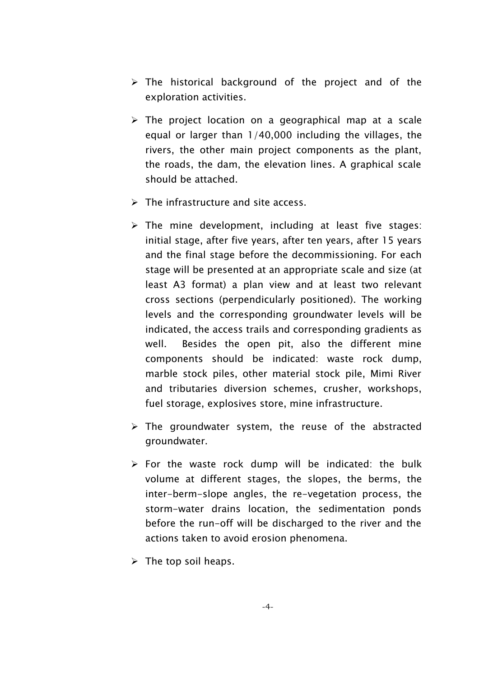- $\triangleright$  The historical background of the project and of the exploration activities.
- $\triangleright$  The project location on a geographical map at a scale equal or larger than 1/40,000 including the villages, the rivers, the other main project components as the plant, the roads, the dam, the elevation lines. A graphical scale should be attached.
- $\triangleright$  The infrastructure and site access.
- $\triangleright$  The mine development, including at least five stages: initial stage, after five years, after ten years, after 15 years and the final stage before the decommissioning. For each stage will be presented at an appropriate scale and size (at least A3 format) a plan view and at least two relevant cross sections (perpendicularly positioned). The working levels and the corresponding groundwater levels will be indicated, the access trails and corresponding gradients as well. Besides the open pit, also the different mine components should be indicated: waste rock dump, marble stock piles, other material stock pile, Mimi River and tributaries diversion schemes, crusher, workshops, fuel storage, explosives store, mine infrastructure.
- $\triangleright$  The groundwater system, the reuse of the abstracted groundwater.
- $\triangleright$  For the waste rock dump will be indicated: the bulk volume at different stages, the slopes, the berms, the inter-berm-slope angles, the re-vegetation process, the storm-water drains location, the sedimentation ponds before the run-off will be discharged to the river and the actions taken to avoid erosion phenomena.
- $\triangleright$  The top soil heaps.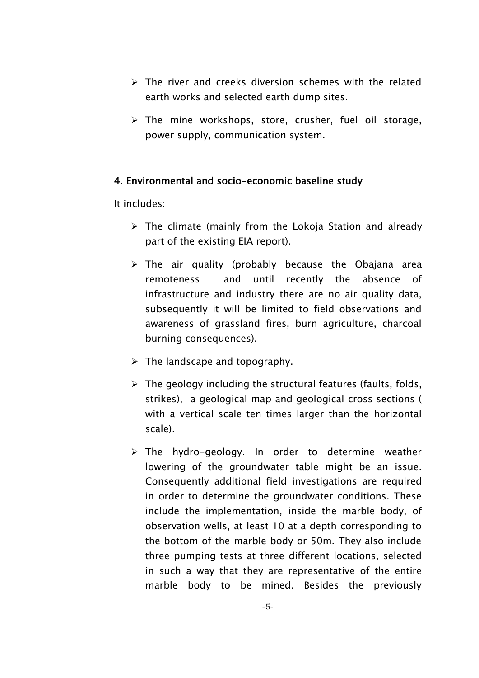- $\triangleright$  The river and creeks diversion schemes with the related earth works and selected earth dump sites.
- $\triangleright$  The mine workshops, store, crusher, fuel oil storage, power supply, communication system.

### 4. Environmental and socio-economic baseline study

It includes:

- $\triangleright$  The climate (mainly from the Lokoja Station and already part of the existing EIA report).
- $\triangleright$  The air quality (probably because the Obajana area remoteness and until recently the absence of infrastructure and industry there are no air quality data, subsequently it will be limited to field observations and awareness of grassland fires, burn agriculture, charcoal burning consequences).
- $\triangleright$  The landscape and topography.
- $\triangleright$  The geology including the structural features (faults, folds, strikes), a geological map and geological cross sections ( with a vertical scale ten times larger than the horizontal scale).
- $\triangleright$  The hydro-geology. In order to determine weather lowering of the groundwater table might be an issue. Consequently additional field investigations are required in order to determine the groundwater conditions. These include the implementation, inside the marble body, of observation wells, at least 10 at a depth corresponding to the bottom of the marble body or 50m. They also include three pumping tests at three different locations, selected in such a way that they are representative of the entire marble body to be mined. Besides the previously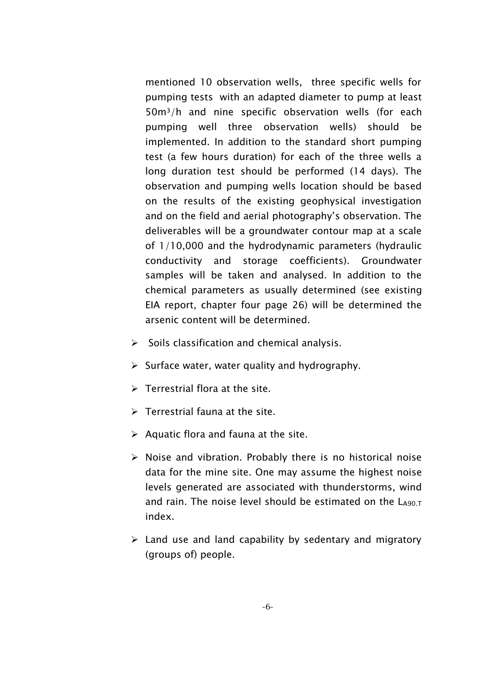mentioned 10 observation wells, three specific wells for pumping tests with an adapted diameter to pump at least 50m<sup>3</sup>/h and nine specific observation wells (for each pumping well three observation wells) should be implemented. In addition to the standard short pumping test (a few hours duration) for each of the three wells a long duration test should be performed (14 days). The observation and pumping wells location should be based on the results of the existing geophysical investigation and on the field and aerial photography's observation. The deliverables will be a groundwater contour map at a scale of 1/10,000 and the hydrodynamic parameters (hydraulic conductivity and storage coefficients). Groundwater samples will be taken and analysed. In addition to the chemical parameters as usually determined (see existing EIA report, chapter four page 26) will be determined the arsenic content will be determined.

- $\triangleright$  Soils classification and chemical analysis.
- $\triangleright$  Surface water, water quality and hydrography.
- $\triangleright$  Terrestrial flora at the site.
- $\triangleright$  Terrestrial fauna at the site.
- $\triangleright$  Aquatic flora and fauna at the site.
- $\triangleright$  Noise and vibration. Probably there is no historical noise data for the mine site. One may assume the highest noise levels generated are associated with thunderstorms, wind and rain. The noise level should be estimated on the  $\mathsf{L}\mathsf{490T}$ index.
- $\triangleright$  Land use and land capability by sedentary and migratory (groups of) people.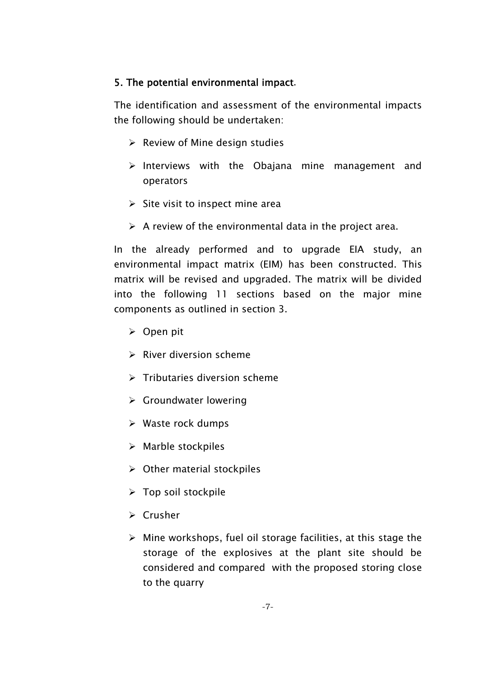## 5. The potential environmental impact.

The identification and assessment of the environmental impacts the following should be undertaken:

- $\triangleright$  Review of Mine design studies
- $\triangleright$  Interviews with the Obajana mine management and operators
- $\triangleright$  Site visit to inspect mine area
- $\triangleright$  A review of the environmental data in the project area.

In the already performed and to upgrade EIA study, an environmental impact matrix (EIM) has been constructed. This matrix will be revised and upgraded. The matrix will be divided into the following 11 sections based on the major mine components as outlined in section 3.

- $\triangleright$  Open pit
- $\triangleright$  River diversion scheme
- $\triangleright$  Tributaries diversion scheme
- $\triangleright$  Groundwater lowering
- $\triangleright$  Waste rock dumps
- $\triangleright$  Marble stockpiles
- $\triangleright$  Other material stockpiles
- $\triangleright$  Top soil stockpile
- $\triangleright$  Crusher
- $\triangleright$  Mine workshops, fuel oil storage facilities, at this stage the storage of the explosives at the plant site should be considered and compared with the proposed storing close to the quarry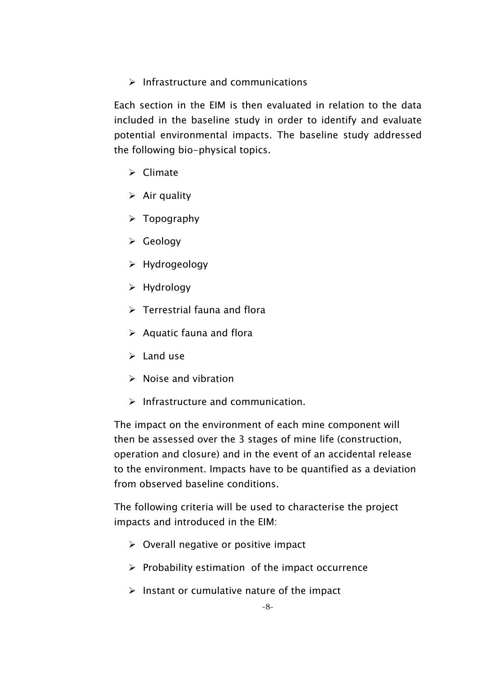$\triangleright$  Infrastructure and communications

Each section in the EIM is then evaluated in relation to the data included in the baseline study in order to identify and evaluate potential environmental impacts. The baseline study addressed the following bio-physical topics.

- $\triangleright$  Climate
- $\triangleright$  Air quality
- $\triangleright$  Topography
- $\triangleright$  Geology
- $\triangleright$  Hydrogeology
- $\triangleright$  Hydrology
- $\triangleright$  Terrestrial fauna and flora
- $\triangleright$  Aquatic fauna and flora
- $\triangleright$  Land use
- $\triangleright$  Noise and vibration
- $\triangleright$  Infrastructure and communication.

The impact on the environment of each mine component will then be assessed over the 3 stages of mine life (construction, operation and closure) and in the event of an accidental release to the environment. Impacts have to be quantified as a deviation from observed baseline conditions.

The following criteria will be used to characterise the project impacts and introduced in the EIM:

- $\triangleright$  Overall negative or positive impact
- $\triangleright$  Probability estimation of the impact occurrence
- $\triangleright$  Instant or cumulative nature of the impact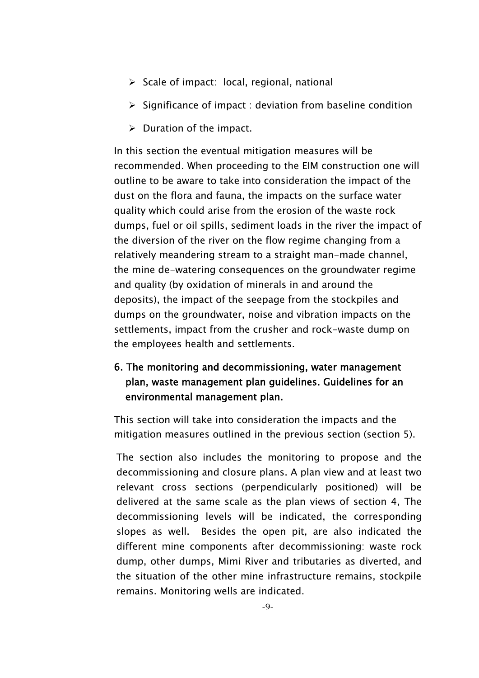- $\triangleright$  Scale of impact: local, regional, national
- $\triangleright$  Significance of impact : deviation from baseline condition
- $\triangleright$  Duration of the impact.

In this section the eventual mitigation measures will be recommended. When proceeding to the EIM construction one will outline to be aware to take into consideration the impact of the dust on the flora and fauna, the impacts on the surface water quality which could arise from the erosion of the waste rock dumps, fuel or oil spills, sediment loads in the river the impact of the diversion of the river on the flow regime changing from a relatively meandering stream to a straight man-made channel, the mine de-watering consequences on the groundwater regime and quality (by oxidation of minerals in and around the deposits), the impact of the seepage from the stockpiles and dumps on the groundwater, noise and vibration impacts on the settlements, impact from the crusher and rock-waste dump on the employees health and settlements.

## 6. The monitoring and decommissioning, water management plan, waste management plan guidelines. Guidelines for an environmental management plan.

This section will take into consideration the impacts and the mitigation measures outlined in the previous section (section 5).

The section also includes the monitoring to propose and the decommissioning and closure plans. A plan view and at least two relevant cross sections (perpendicularly positioned) will be delivered at the same scale as the plan views of section 4, The decommissioning levels will be indicated, the corresponding slopes as well. Besides the open pit, are also indicated the different mine components after decommissioning: waste rock dump, other dumps, Mimi River and tributaries as diverted, and the situation of the other mine infrastructure remains, stockpile remains. Monitoring wells are indicated.